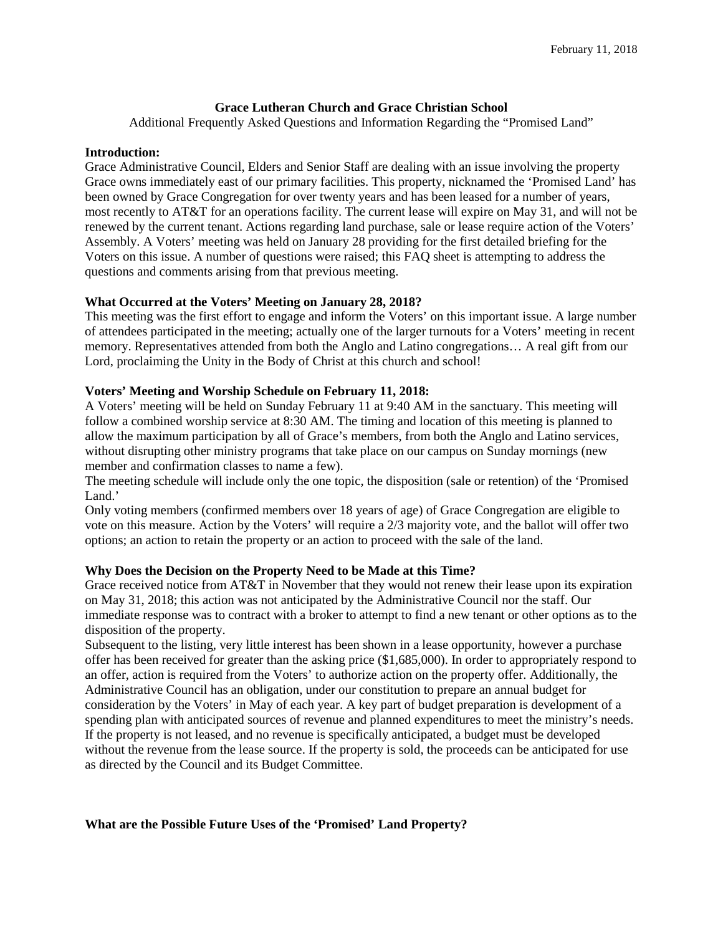# **Grace Lutheran Church and Grace Christian School**

Additional Frequently Asked Questions and Information Regarding the "Promised Land"

## **Introduction:**

Grace Administrative Council, Elders and Senior Staff are dealing with an issue involving the property Grace owns immediately east of our primary facilities. This property, nicknamed the 'Promised Land' has been owned by Grace Congregation for over twenty years and has been leased for a number of years, most recently to AT&T for an operations facility. The current lease will expire on May 31, and will not be renewed by the current tenant. Actions regarding land purchase, sale or lease require action of the Voters' Assembly. A Voters' meeting was held on January 28 providing for the first detailed briefing for the Voters on this issue. A number of questions were raised; this FAQ sheet is attempting to address the questions and comments arising from that previous meeting.

# **What Occurred at the Voters' Meeting on January 28, 2018?**

This meeting was the first effort to engage and inform the Voters' on this important issue. A large number of attendees participated in the meeting; actually one of the larger turnouts for a Voters' meeting in recent memory. Representatives attended from both the Anglo and Latino congregations… A real gift from our Lord, proclaiming the Unity in the Body of Christ at this church and school!

# **Voters' Meeting and Worship Schedule on February 11, 2018:**

A Voters' meeting will be held on Sunday February 11 at 9:40 AM in the sanctuary. This meeting will follow a combined worship service at 8:30 AM. The timing and location of this meeting is planned to allow the maximum participation by all of Grace's members, from both the Anglo and Latino services, without disrupting other ministry programs that take place on our campus on Sunday mornings (new member and confirmation classes to name a few).

The meeting schedule will include only the one topic, the disposition (sale or retention) of the 'Promised Land.'

Only voting members (confirmed members over 18 years of age) of Grace Congregation are eligible to vote on this measure. Action by the Voters' will require a 2/3 majority vote, and the ballot will offer two options; an action to retain the property or an action to proceed with the sale of the land.

# **Why Does the Decision on the Property Need to be Made at this Time?**

Grace received notice from AT&T in November that they would not renew their lease upon its expiration on May 31, 2018; this action was not anticipated by the Administrative Council nor the staff. Our immediate response was to contract with a broker to attempt to find a new tenant or other options as to the disposition of the property.

Subsequent to the listing, very little interest has been shown in a lease opportunity, however a purchase offer has been received for greater than the asking price (\$1,685,000). In order to appropriately respond to an offer, action is required from the Voters' to authorize action on the property offer. Additionally, the Administrative Council has an obligation, under our constitution to prepare an annual budget for consideration by the Voters' in May of each year. A key part of budget preparation is development of a spending plan with anticipated sources of revenue and planned expenditures to meet the ministry's needs. If the property is not leased, and no revenue is specifically anticipated, a budget must be developed without the revenue from the lease source. If the property is sold, the proceeds can be anticipated for use as directed by the Council and its Budget Committee.

# **What are the Possible Future Uses of the 'Promised' Land Property?**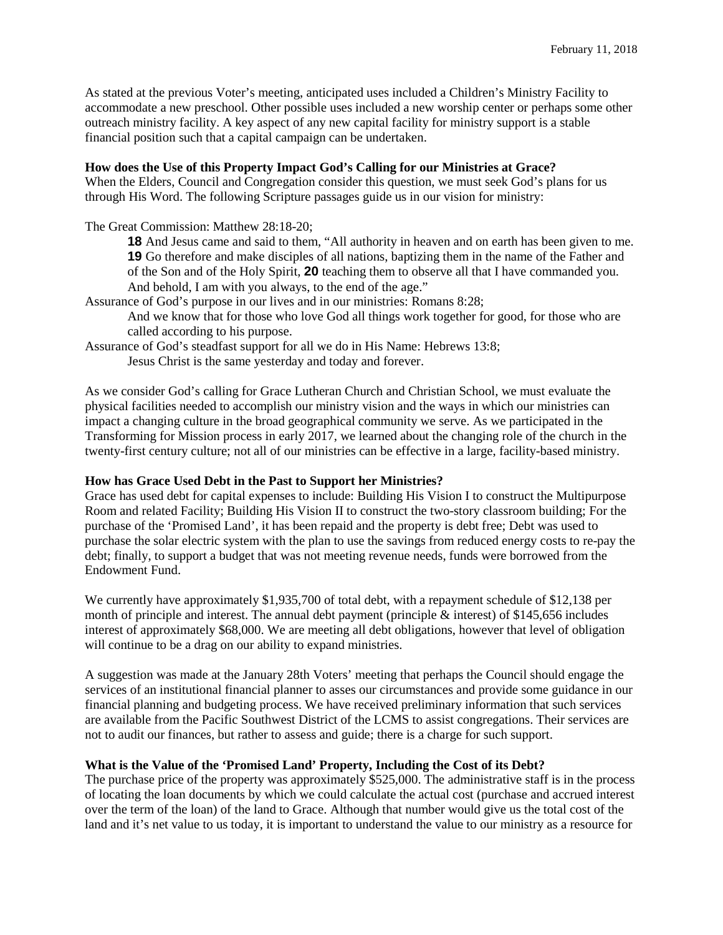As stated at the previous Voter's meeting, anticipated uses included a Children's Ministry Facility to accommodate a new preschool. Other possible uses included a new worship center or perhaps some other outreach ministry facility. A key aspect of any new capital facility for ministry support is a stable financial position such that a capital campaign can be undertaken.

## **How does the Use of this Property Impact God's Calling for our Ministries at Grace?**

When the Elders, Council and Congregation consider this question, we must seek God's plans for us through His Word. The following Scripture passages guide us in our vision for ministry:

The Great Commission: Matthew 28:18-20;

**18** And Jesus came and said to them, "All authority in heaven and on earth has been given to me. **19** Go therefore and make disciples of all nations, baptizing them in the name of the Father and of the Son and of the Holy Spirit, **20** teaching them to observe all that I have commanded you. And behold, I am with you always, to the end of the age."

Assurance of God's purpose in our lives and in our ministries: Romans 8:28;

And we know that for those who love God all things work together for good, for those who are called according to his purpose.

Assurance of God's steadfast support for all we do in His Name: Hebrews 13:8;

Jesus Christ is the same yesterday and today and forever.

As we consider God's calling for Grace Lutheran Church and Christian School, we must evaluate the physical facilities needed to accomplish our ministry vision and the ways in which our ministries can impact a changing culture in the broad geographical community we serve. As we participated in the Transforming for Mission process in early 2017, we learned about the changing role of the church in the twenty-first century culture; not all of our ministries can be effective in a large, facility-based ministry.

# **How has Grace Used Debt in the Past to Support her Ministries?**

Grace has used debt for capital expenses to include: Building His Vision I to construct the Multipurpose Room and related Facility; Building His Vision II to construct the two-story classroom building; For the purchase of the 'Promised Land', it has been repaid and the property is debt free; Debt was used to purchase the solar electric system with the plan to use the savings from reduced energy costs to re-pay the debt; finally, to support a budget that was not meeting revenue needs, funds were borrowed from the Endowment Fund.

We currently have approximately \$1,935,700 of total debt, with a repayment schedule of \$12,138 per month of principle and interest. The annual debt payment (principle & interest) of \$145,656 includes interest of approximately \$68,000. We are meeting all debt obligations, however that level of obligation will continue to be a drag on our ability to expand ministries.

A suggestion was made at the January 28th Voters' meeting that perhaps the Council should engage the services of an institutional financial planner to asses our circumstances and provide some guidance in our financial planning and budgeting process. We have received preliminary information that such services are available from the Pacific Southwest District of the LCMS to assist congregations. Their services are not to audit our finances, but rather to assess and guide; there is a charge for such support.

#### **What is the Value of the 'Promised Land' Property, Including the Cost of its Debt?**

The purchase price of the property was approximately \$525,000. The administrative staff is in the process of locating the loan documents by which we could calculate the actual cost (purchase and accrued interest over the term of the loan) of the land to Grace. Although that number would give us the total cost of the land and it's net value to us today, it is important to understand the value to our ministry as a resource for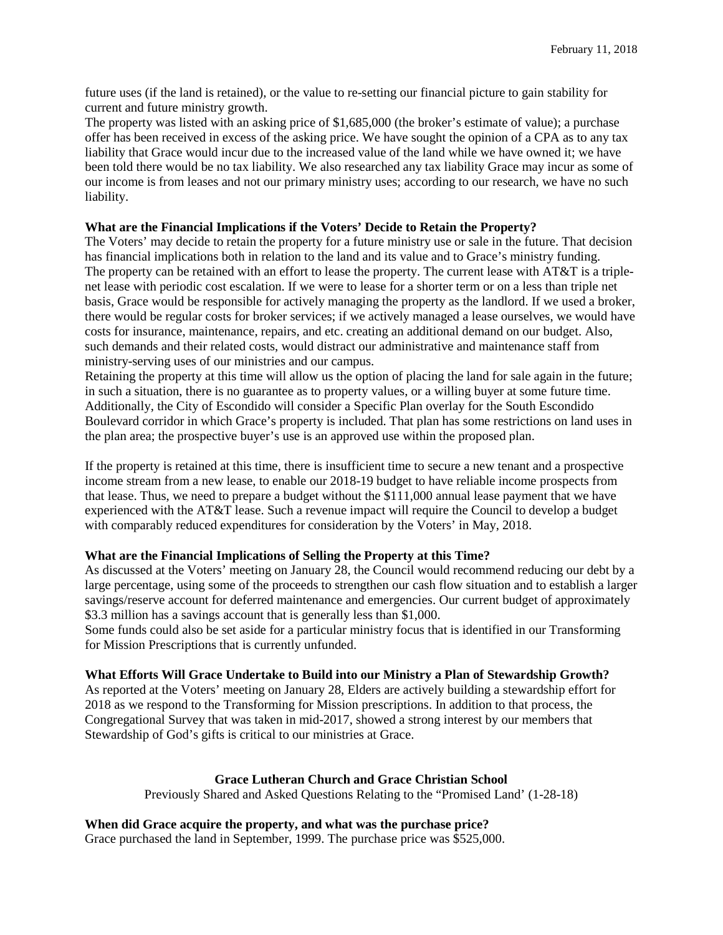future uses (if the land is retained), or the value to re-setting our financial picture to gain stability for current and future ministry growth.

The property was listed with an asking price of \$1,685,000 (the broker's estimate of value); a purchase offer has been received in excess of the asking price. We have sought the opinion of a CPA as to any tax liability that Grace would incur due to the increased value of the land while we have owned it; we have been told there would be no tax liability. We also researched any tax liability Grace may incur as some of our income is from leases and not our primary ministry uses; according to our research, we have no such liability.

## **What are the Financial Implications if the Voters' Decide to Retain the Property?**

The Voters' may decide to retain the property for a future ministry use or sale in the future. That decision has financial implications both in relation to the land and its value and to Grace's ministry funding. The property can be retained with an effort to lease the property. The current lease with AT&T is a triplenet lease with periodic cost escalation. If we were to lease for a shorter term or on a less than triple net basis, Grace would be responsible for actively managing the property as the landlord. If we used a broker, there would be regular costs for broker services; if we actively managed a lease ourselves, we would have costs for insurance, maintenance, repairs, and etc. creating an additional demand on our budget. Also, such demands and their related costs, would distract our administrative and maintenance staff from ministry-serving uses of our ministries and our campus.

Retaining the property at this time will allow us the option of placing the land for sale again in the future; in such a situation, there is no guarantee as to property values, or a willing buyer at some future time. Additionally, the City of Escondido will consider a Specific Plan overlay for the South Escondido Boulevard corridor in which Grace's property is included. That plan has some restrictions on land uses in the plan area; the prospective buyer's use is an approved use within the proposed plan.

If the property is retained at this time, there is insufficient time to secure a new tenant and a prospective income stream from a new lease, to enable our 2018-19 budget to have reliable income prospects from that lease. Thus, we need to prepare a budget without the \$111,000 annual lease payment that we have experienced with the AT&T lease. Such a revenue impact will require the Council to develop a budget with comparably reduced expenditures for consideration by the Voters' in May, 2018.

#### **What are the Financial Implications of Selling the Property at this Time?**

As discussed at the Voters' meeting on January 28, the Council would recommend reducing our debt by a large percentage, using some of the proceeds to strengthen our cash flow situation and to establish a larger savings/reserve account for deferred maintenance and emergencies. Our current budget of approximately \$3.3 million has a savings account that is generally less than \$1,000.

Some funds could also be set aside for a particular ministry focus that is identified in our Transforming for Mission Prescriptions that is currently unfunded.

#### **What Efforts Will Grace Undertake to Build into our Ministry a Plan of Stewardship Growth?**

As reported at the Voters' meeting on January 28, Elders are actively building a stewardship effort for 2018 as we respond to the Transforming for Mission prescriptions. In addition to that process, the Congregational Survey that was taken in mid-2017, showed a strong interest by our members that Stewardship of God's gifts is critical to our ministries at Grace.

#### **Grace Lutheran Church and Grace Christian School**

Previously Shared and Asked Questions Relating to the "Promised Land' (1-28-18)

## **When did Grace acquire the property, and what was the purchase price?**

Grace purchased the land in September, 1999. The purchase price was \$525,000.